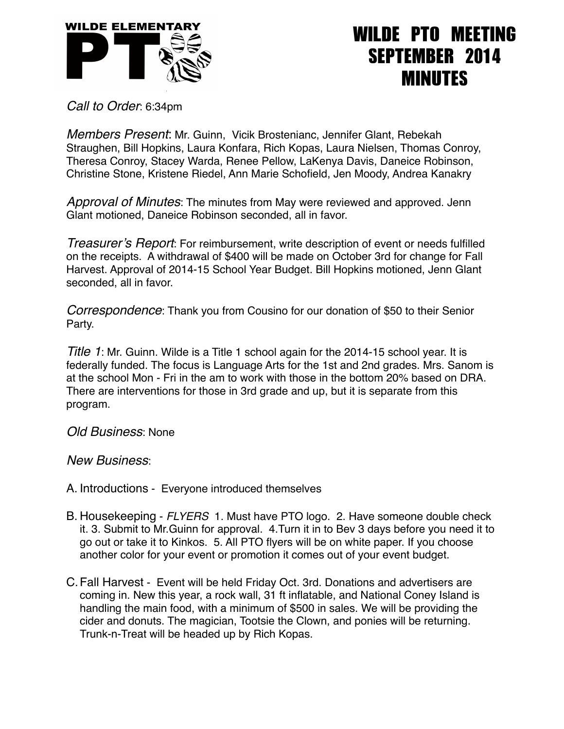

## WILDE PTO MEETING SEPTEMBER 2014 MINUTES

*Call to Order*: 6:34pm

*Members Present*: Mr. Guinn, Vicik Brostenianc, Jennifer Glant, Rebekah Straughen, Bill Hopkins, Laura Konfara, Rich Kopas, Laura Nielsen, Thomas Conroy, Theresa Conroy, Stacey Warda, Renee Pellow, LaKenya Davis, Daneice Robinson, Christine Stone, Kristene Riedel, Ann Marie Schofield, Jen Moody, Andrea Kanakry

*Approval of Minutes*: The minutes from May were reviewed and approved. Jenn Glant motioned, Daneice Robinson seconded, all in favor.

*Treasurer's Report*: For reimbursement, write description of event or needs fulfilled on the receipts. A withdrawal of \$400 will be made on October 3rd for change for Fall Harvest. Approval of 2014-15 School Year Budget. Bill Hopkins motioned, Jenn Glant seconded, all in favor.

*Correspondence*: Thank you from Cousino for our donation of \$50 to their Senior Party.

*Title 1*: Mr. Guinn. Wilde is a Title 1 school again for the 2014-15 school year. It is federally funded. The focus is Language Arts for the 1st and 2nd grades. Mrs. Sanom is at the school Mon - Fri in the am to work with those in the bottom 20% based on DRA. There are interventions for those in 3rd grade and up, but it is separate from this program.

*Old Business*: None

*New Business*:

- A. Introductions Everyone introduced themselves
- B. Housekeeping *FLYERS* 1. Must have PTO logo. 2. Have someone double check it. 3. Submit to Mr.Guinn for approval. 4.Turn it in to Bev 3 days before you need it to go out or take it to Kinkos. 5. All PTO flyers will be on white paper. If you choose another color for your event or promotion it comes out of your event budget.
- C.Fall Harvest Event will be held Friday Oct. 3rd. Donations and advertisers are coming in. New this year, a rock wall, 31 ft inflatable, and National Coney Island is handling the main food, with a minimum of \$500 in sales. We will be providing the cider and donuts. The magician, Tootsie the Clown, and ponies will be returning. Trunk-n-Treat will be headed up by Rich Kopas.